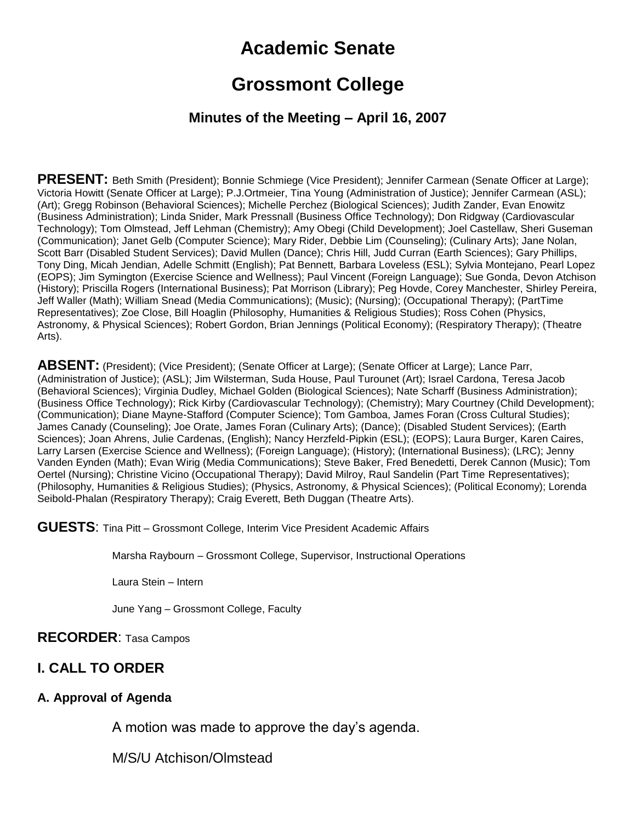# **Academic Senate**

## **Grossmont College**

#### **Minutes of the Meeting – April 16, 2007**

**PRESENT:** Beth Smith (President); Bonnie Schmiege (Vice President); Jennifer Carmean (Senate Officer at Large); Victoria Howitt (Senate Officer at Large); P.J.Ortmeier, Tina Young (Administration of Justice); Jennifer Carmean (ASL); (Art); Gregg Robinson (Behavioral Sciences); Michelle Perchez (Biological Sciences); Judith Zander, Evan Enowitz (Business Administration); Linda Snider, Mark Pressnall (Business Office Technology); Don Ridgway (Cardiovascular Technology); Tom Olmstead, Jeff Lehman (Chemistry); Amy Obegi (Child Development); Joel Castellaw, Sheri Guseman (Communication); Janet Gelb (Computer Science); Mary Rider, Debbie Lim (Counseling); (Culinary Arts); Jane Nolan, Scott Barr (Disabled Student Services); David Mullen (Dance); Chris Hill, Judd Curran (Earth Sciences); Gary Phillips, Tony Ding, Micah Jendian, Adelle Schmitt (English); Pat Bennett, Barbara Loveless (ESL); Sylvia Montejano, Pearl Lopez (EOPS); Jim Symington (Exercise Science and Wellness); Paul Vincent (Foreign Language); Sue Gonda, Devon Atchison (History); Priscilla Rogers (International Business); Pat Morrison (Library); Peg Hovde, Corey Manchester, Shirley Pereira, Jeff Waller (Math); William Snead (Media Communications); (Music); (Nursing); (Occupational Therapy); (PartTime Representatives); Zoe Close, Bill Hoaglin (Philosophy, Humanities & Religious Studies); Ross Cohen (Physics, Astronomy, & Physical Sciences); Robert Gordon, Brian Jennings (Political Economy); (Respiratory Therapy); (Theatre Arts).

**ABSENT:** (President); (Vice President); (Senate Officer at Large); (Senate Officer at Large); Lance Parr, (Administration of Justice); (ASL); Jim Wilsterman, Suda House, Paul Turounet (Art); Israel Cardona, Teresa Jacob (Behavioral Sciences); Virginia Dudley, Michael Golden (Biological Sciences); Nate Scharff (Business Administration); (Business Office Technology); Rick Kirby (Cardiovascular Technology); (Chemistry); Mary Courtney (Child Development); (Communication); Diane Mayne-Stafford (Computer Science); Tom Gamboa, James Foran (Cross Cultural Studies); James Canady (Counseling); Joe Orate, James Foran (Culinary Arts); (Dance); (Disabled Student Services); (Earth Sciences); Joan Ahrens, Julie Cardenas, (English); Nancy Herzfeld-Pipkin (ESL); (EOPS); Laura Burger, Karen Caires, Larry Larsen (Exercise Science and Wellness); (Foreign Language); (History); (International Business); (LRC); Jenny Vanden Eynden (Math); Evan Wirig (Media Communications); Steve Baker, Fred Benedetti, Derek Cannon (Music); Tom Oertel (Nursing); Christine Vicino (Occupational Therapy); David Milroy, Raul Sandelin (Part Time Representatives); (Philosophy, Humanities & Religious Studies); (Physics, Astronomy, & Physical Sciences); (Political Economy); Lorenda Seibold-Phalan (Respiratory Therapy); Craig Everett, Beth Duggan (Theatre Arts).

**GUESTS:** Tina Pitt – Grossmont College, Interim Vice President Academic Affairs

Marsha Raybourn – Grossmont College, Supervisor, Instructional Operations

Laura Stein – Intern

June Yang – Grossmont College, Faculty

#### **RECORDER**: Tasa Campos

#### **I. CALL TO ORDER**

#### **A. Approval of Agenda**

A motion was made to approve the day's agenda.

M/S/U Atchison/Olmstead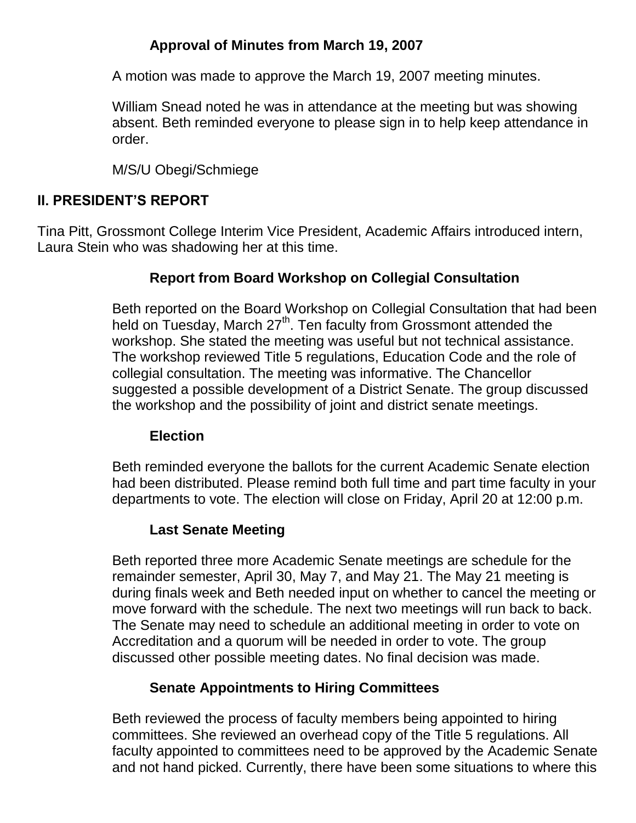### **Approval of Minutes from March 19, 2007**

A motion was made to approve the March 19, 2007 meeting minutes.

William Snead noted he was in attendance at the meeting but was showing absent. Beth reminded everyone to please sign in to help keep attendance in order.

M/S/U Obegi/Schmiege

### **II. PRESIDENT'S REPORT**

Tina Pitt, Grossmont College Interim Vice President, Academic Affairs introduced intern, Laura Stein who was shadowing her at this time.

## **Report from Board Workshop on Collegial Consultation**

Beth reported on the Board Workshop on Collegial Consultation that had been held on Tuesday, March  $27<sup>th</sup>$ . Ten faculty from Grossmont attended the workshop. She stated the meeting was useful but not technical assistance. The workshop reviewed Title 5 regulations, Education Code and the role of collegial consultation. The meeting was informative. The Chancellor suggested a possible development of a District Senate. The group discussed the workshop and the possibility of joint and district senate meetings.

### **Election**

Beth reminded everyone the ballots for the current Academic Senate election had been distributed. Please remind both full time and part time faculty in your departments to vote. The election will close on Friday, April 20 at 12:00 p.m.

## **Last Senate Meeting**

Beth reported three more Academic Senate meetings are schedule for the remainder semester, April 30, May 7, and May 21. The May 21 meeting is during finals week and Beth needed input on whether to cancel the meeting or move forward with the schedule. The next two meetings will run back to back. The Senate may need to schedule an additional meeting in order to vote on Accreditation and a quorum will be needed in order to vote. The group discussed other possible meeting dates. No final decision was made.

## **Senate Appointments to Hiring Committees**

Beth reviewed the process of faculty members being appointed to hiring committees. She reviewed an overhead copy of the Title 5 regulations. All faculty appointed to committees need to be approved by the Academic Senate and not hand picked. Currently, there have been some situations to where this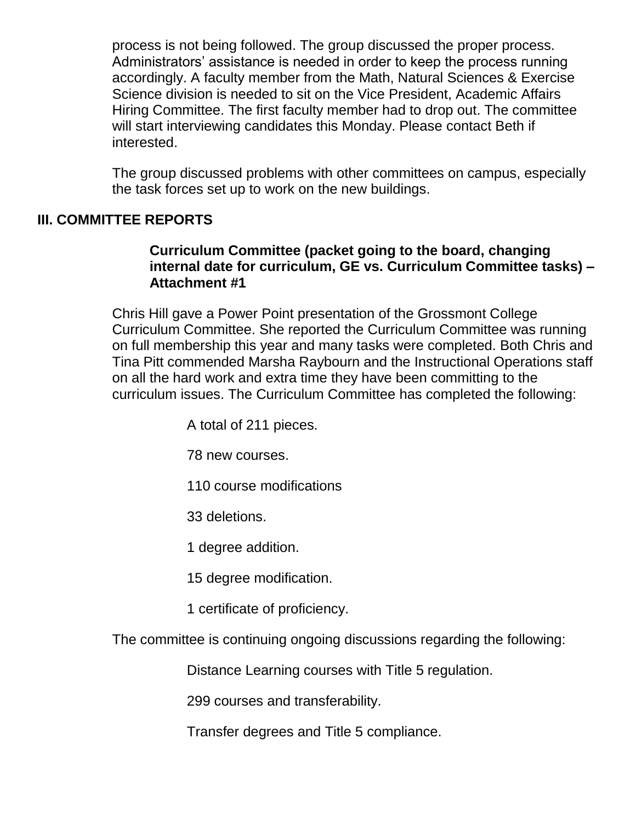process is not being followed. The group discussed the proper process. Administrators' assistance is needed in order to keep the process running accordingly. A faculty member from the Math, Natural Sciences & Exercise Science division is needed to sit on the Vice President, Academic Affairs Hiring Committee. The first faculty member had to drop out. The committee will start interviewing candidates this Monday. Please contact Beth if interested.

The group discussed problems with other committees on campus, especially the task forces set up to work on the new buildings.

### **III. COMMITTEE REPORTS**

#### **Curriculum Committee (packet going to the board, changing internal date for curriculum, GE vs. Curriculum Committee tasks) – Attachment #1**

Chris Hill gave a Power Point presentation of the Grossmont College Curriculum Committee. She reported the Curriculum Committee was running on full membership this year and many tasks were completed. Both Chris and Tina Pitt commended Marsha Raybourn and the Instructional Operations staff on all the hard work and extra time they have been committing to the curriculum issues. The Curriculum Committee has completed the following:

A total of 211 pieces.

78 new courses.

110 course modifications

33 deletions.

1 degree addition.

15 degree modification.

1 certificate of proficiency.

The committee is continuing ongoing discussions regarding the following:

Distance Learning courses with Title 5 regulation.

299 courses and transferability.

Transfer degrees and Title 5 compliance.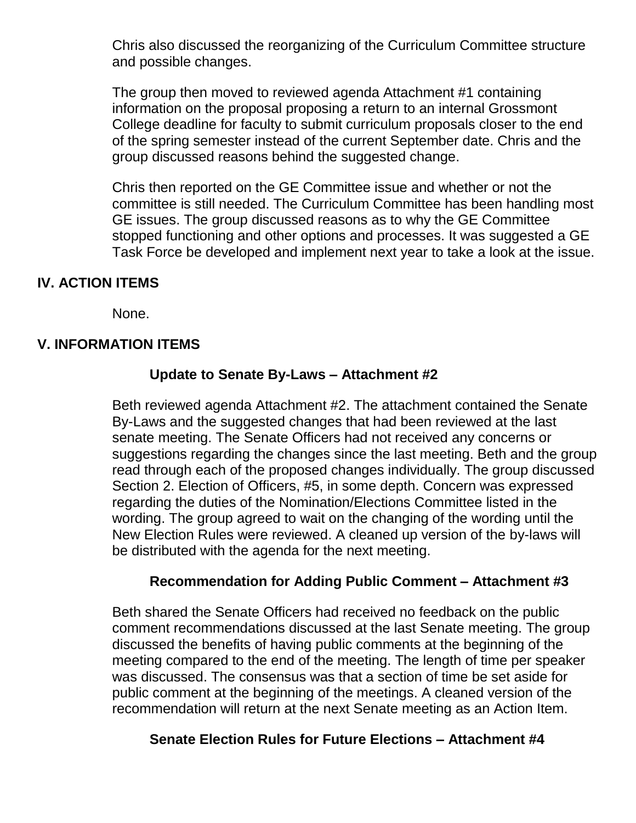Chris also discussed the reorganizing of the Curriculum Committee structure and possible changes.

The group then moved to reviewed agenda Attachment #1 containing information on the proposal proposing a return to an internal Grossmont College deadline for faculty to submit curriculum proposals closer to the end of the spring semester instead of the current September date. Chris and the group discussed reasons behind the suggested change.

Chris then reported on the GE Committee issue and whether or not the committee is still needed. The Curriculum Committee has been handling most GE issues. The group discussed reasons as to why the GE Committee stopped functioning and other options and processes. It was suggested a GE Task Force be developed and implement next year to take a look at the issue.

### **IV. ACTION ITEMS**

None.

### **V. INFORMATION ITEMS**

### **Update to Senate By-Laws – Attachment #2**

Beth reviewed agenda Attachment #2. The attachment contained the Senate By-Laws and the suggested changes that had been reviewed at the last senate meeting. The Senate Officers had not received any concerns or suggestions regarding the changes since the last meeting. Beth and the group read through each of the proposed changes individually. The group discussed Section 2. Election of Officers, #5, in some depth. Concern was expressed regarding the duties of the Nomination/Elections Committee listed in the wording. The group agreed to wait on the changing of the wording until the New Election Rules were reviewed. A cleaned up version of the by-laws will be distributed with the agenda for the next meeting.

#### **Recommendation for Adding Public Comment – Attachment #3**

Beth shared the Senate Officers had received no feedback on the public comment recommendations discussed at the last Senate meeting. The group discussed the benefits of having public comments at the beginning of the meeting compared to the end of the meeting. The length of time per speaker was discussed. The consensus was that a section of time be set aside for public comment at the beginning of the meetings. A cleaned version of the recommendation will return at the next Senate meeting as an Action Item.

#### **Senate Election Rules for Future Elections – Attachment #4**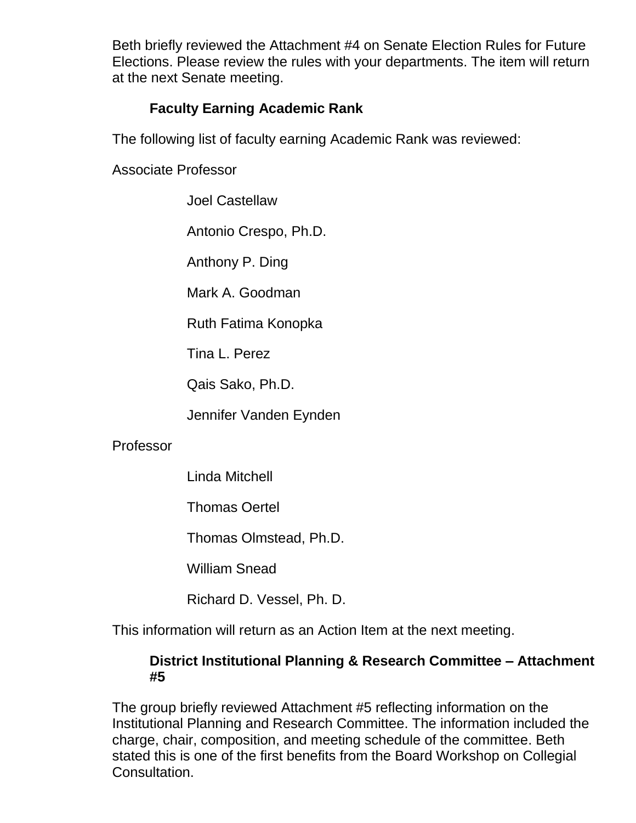Beth briefly reviewed the Attachment #4 on Senate Election Rules for Future Elections. Please review the rules with your departments. The item will return at the next Senate meeting.

### **Faculty Earning Academic Rank**

The following list of faculty earning Academic Rank was reviewed:

Associate Professor

Joel Castellaw

Antonio Crespo, Ph.D.

Anthony P. Ding

Mark A. Goodman

Ruth Fatima Konopka

Tina L. Perez

Qais Sako, Ph.D.

Jennifer Vanden Eynden

### Professor

Linda Mitchell

Thomas Oertel

Thomas Olmstead, Ph.D.

William Snead

Richard D. Vessel, Ph. D.

This information will return as an Action Item at the next meeting.

### **District Institutional Planning & Research Committee – Attachment #5**

The group briefly reviewed Attachment #5 reflecting information on the Institutional Planning and Research Committee. The information included the charge, chair, composition, and meeting schedule of the committee. Beth stated this is one of the first benefits from the Board Workshop on Collegial Consultation.